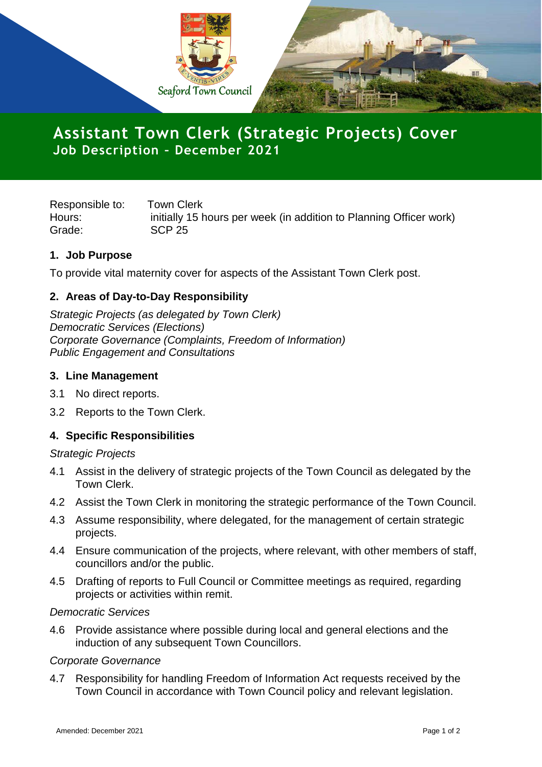

# **Assistant Town Clerk (Strategic Projects) Cover Job Description – December 2021**

Responsible to: Town Clerk Hours: initially 15 hours per week (in addition to Planning Officer work) Grade: SCP 25

# **1. Job Purpose**

To provide vital maternity cover for aspects of the Assistant Town Clerk post.

# **2. Areas of Day-to-Day Responsibility**

*Strategic Projects (as delegated by Town Clerk) Democratic Services (Elections) Corporate Governance (Complaints, Freedom of Information) Public Engagement and Consultations*

### **3. Line Management**

- 3.1 No direct reports.
- 3.2 Reports to the Town Clerk.

### **4. Specific Responsibilities**

#### *Strategic Projects*

- 4.1 Assist in the delivery of strategic projects of the Town Council as delegated by the Town Clerk.
- 4.2 Assist the Town Clerk in monitoring the strategic performance of the Town Council.
- 4.3 Assume responsibility, where delegated, for the management of certain strategic projects.
- 4.4 Ensure communication of the projects, where relevant, with other members of staff, councillors and/or the public.
- 4.5 Drafting of reports to Full Council or Committee meetings as required, regarding projects or activities within remit.

#### *Democratic Services*

4.6 Provide assistance where possible during local and general elections and the induction of any subsequent Town Councillors.

#### *Corporate Governance*

4.7 Responsibility for handling Freedom of Information Act requests received by the Town Council in accordance with Town Council policy and relevant legislation.